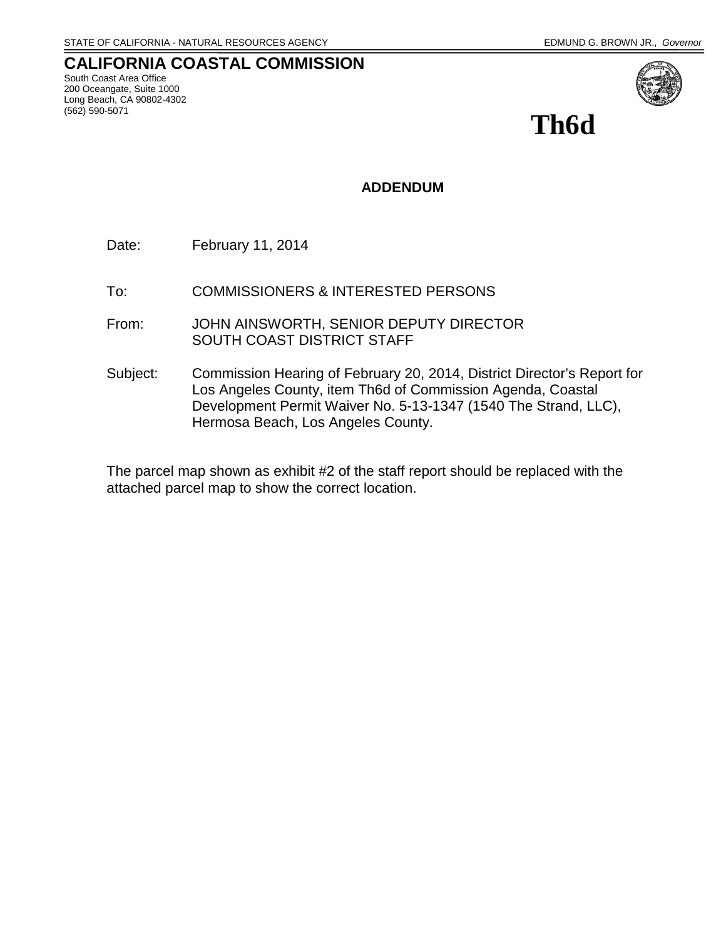#### **CALIFORNIA COASTAL COMMISSION** South Coast Area Office 200 Oceangate, Suite 1000 Long Beach, CA 90802-4302 (562) 590-5071



**Th6d**

#### **ADDENDUM**

Date: February 11, 2014

- To: COMMISSIONERS & INTERESTED PERSONS
- From: JOHN AINSWORTH, SENIOR DEPUTY DIRECTOR SOUTH COAST DISTRICT STAFF
- Subject: Commission Hearing of February 20, 2014, District Director's Report for Los Angeles County, item Th6d of Commission Agenda, Coastal Development Permit Waiver No. 5-13-1347 (1540 The Strand, LLC), Hermosa Beach, Los Angeles County.

The parcel map shown as exhibit #2 of the staff report should be replaced with the attached parcel map to show the correct location.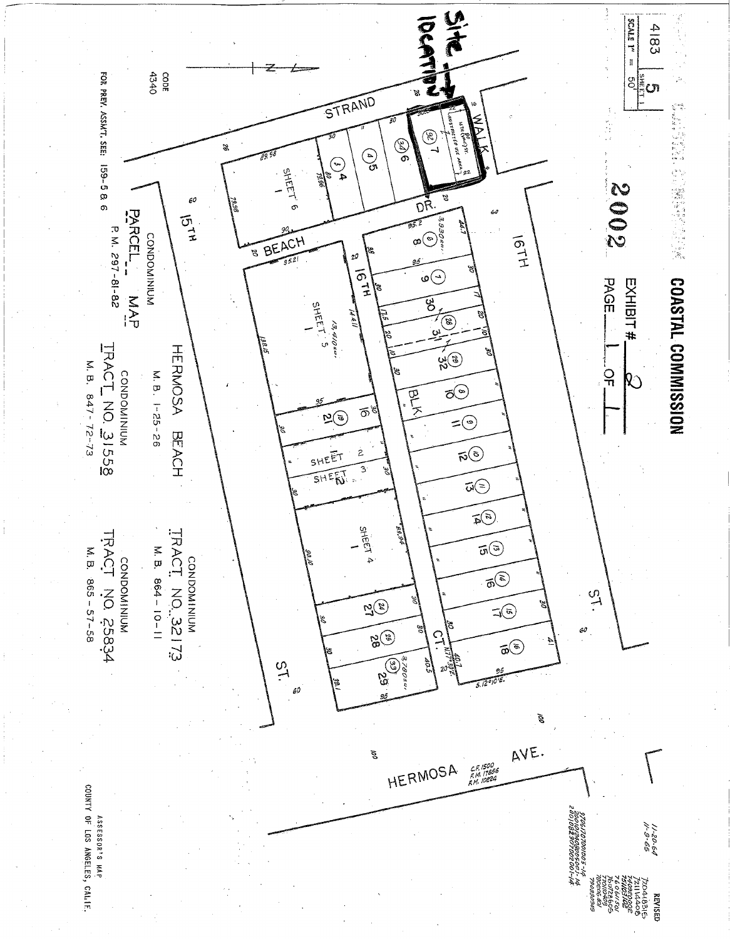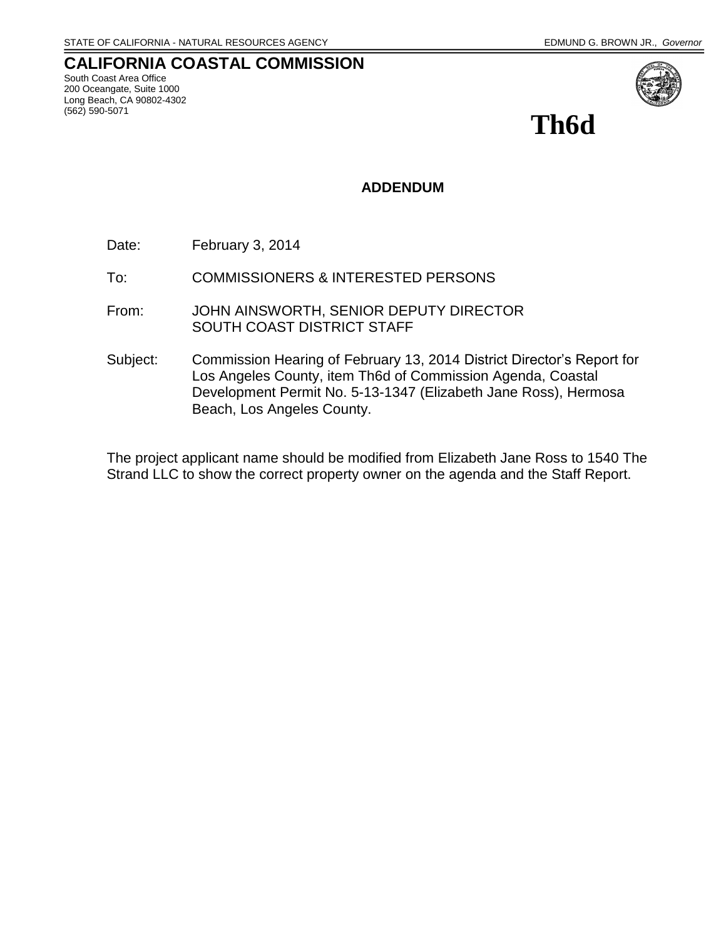#### **CALIFORNIA COASTAL COMMISSION** South Coast Area Office 200 Oceangate, Suite 1000 Long Beach, CA 90802-4302 (562) 590-5071



**Th6d**

#### **ADDENDUM**

- Date: February 3, 2014
- To: COMMISSIONERS & INTERESTED PERSONS
- From: JOHN AINSWORTH, SENIOR DEPUTY DIRECTOR SOUTH COAST DISTRICT STAFF
- Subject: Commission Hearing of February 13, 2014 District Director's Report for Los Angeles County, item Th6d of Commission Agenda, Coastal Development Permit No. 5-13-1347 (Elizabeth Jane Ross), Hermosa Beach, Los Angeles County.

The project applicant name should be modified from Elizabeth Jane Ross to 1540 The Strand LLC to show the correct property owner on the agenda and the Staff Report.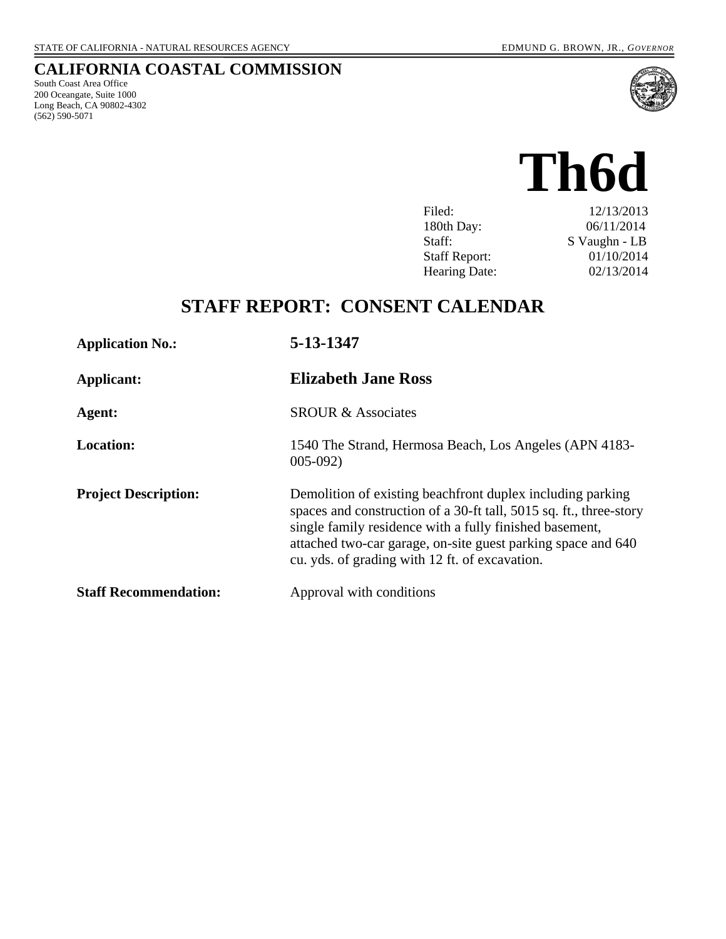# **CALIFORNIA COASTAL COMMISSION**

South Coast Area Office 200 Oceangate, Suite 1000 Long Beach, CA 90802-4302 (562) 590-5071



# **Th6d**

| Filed:               | 12/13/2013    |
|----------------------|---------------|
| 180th Day:           | 06/11/2014    |
| Staff:               | S Vaughn - LB |
| <b>Staff Report:</b> | 01/10/2014    |
| <b>Hearing Date:</b> | 02/13/2014    |

# **STAFF REPORT: CONSENT CALENDAR**

| <b>Application No.:</b>      | 5-13-1347                                                                                                                                                                                                                                                                                                     |  |  |
|------------------------------|---------------------------------------------------------------------------------------------------------------------------------------------------------------------------------------------------------------------------------------------------------------------------------------------------------------|--|--|
| Applicant:                   | <b>Elizabeth Jane Ross</b>                                                                                                                                                                                                                                                                                    |  |  |
| Agent:                       | <b>SROUR &amp; Associates</b>                                                                                                                                                                                                                                                                                 |  |  |
| <b>Location:</b>             | 1540 The Strand, Hermosa Beach, Los Angeles (APN 4183-<br>$005-092$                                                                                                                                                                                                                                           |  |  |
| <b>Project Description:</b>  | Demolition of existing beachfront duplex including parking<br>spaces and construction of a 30-ft tall, 5015 sq. ft., three-story<br>single family residence with a fully finished basement,<br>attached two-car garage, on-site guest parking space and 640<br>cu. yds. of grading with 12 ft. of excavation. |  |  |
| <b>Staff Recommendation:</b> | Approval with conditions                                                                                                                                                                                                                                                                                      |  |  |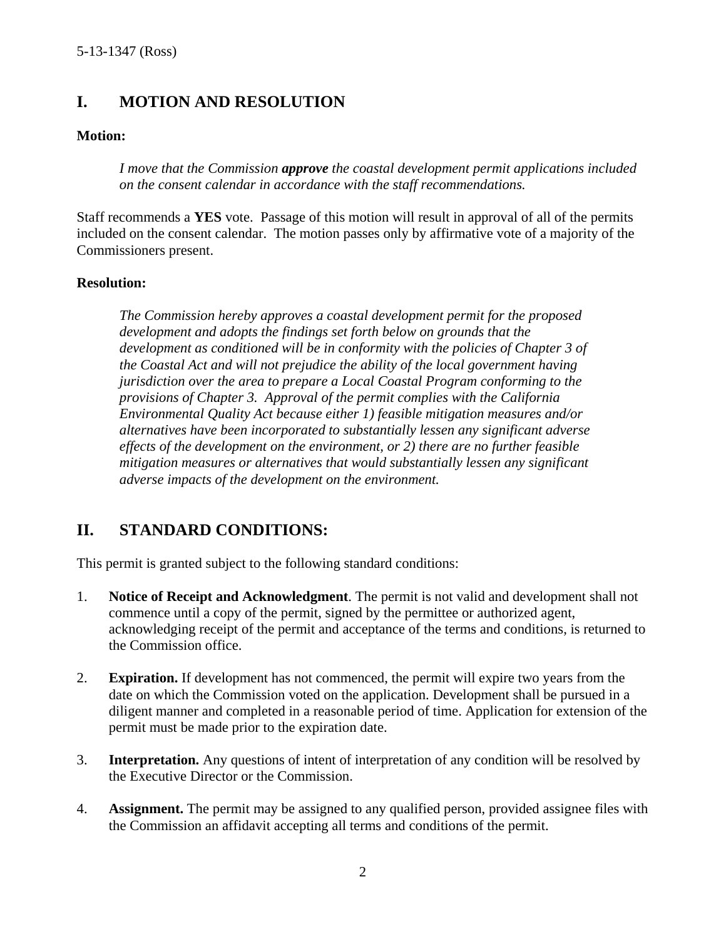# **I. MOTION AND RESOLUTION**

#### **Motion:**

*I move that the Commission approve the coastal development permit applications included on the consent calendar in accordance with the staff recommendations.*

Staff recommends a **YES** vote. Passage of this motion will result in approval of all of the permits included on the consent calendar. The motion passes only by affirmative vote of a majority of the Commissioners present.

#### **Resolution:**

*The Commission hereby approves a coastal development permit for the proposed development and adopts the findings set forth below on grounds that the development as conditioned will be in conformity with the policies of Chapter 3 of the Coastal Act and will not prejudice the ability of the local government having jurisdiction over the area to prepare a Local Coastal Program conforming to the provisions of Chapter 3. Approval of the permit complies with the California Environmental Quality Act because either 1) feasible mitigation measures and/or alternatives have been incorporated to substantially lessen any significant adverse effects of the development on the environment, or 2) there are no further feasible mitigation measures or alternatives that would substantially lessen any significant adverse impacts of the development on the environment.*

# **II. STANDARD CONDITIONS:**

This permit is granted subject to the following standard conditions:

- 1. **Notice of Receipt and Acknowledgment**. The permit is not valid and development shall not commence until a copy of the permit, signed by the permittee or authorized agent, acknowledging receipt of the permit and acceptance of the terms and conditions, is returned to the Commission office.
- 2. **Expiration.** If development has not commenced, the permit will expire two years from the date on which the Commission voted on the application. Development shall be pursued in a diligent manner and completed in a reasonable period of time. Application for extension of the permit must be made prior to the expiration date.
- 3. **Interpretation.** Any questions of intent of interpretation of any condition will be resolved by the Executive Director or the Commission.
- 4. **Assignment.** The permit may be assigned to any qualified person, provided assignee files with the Commission an affidavit accepting all terms and conditions of the permit.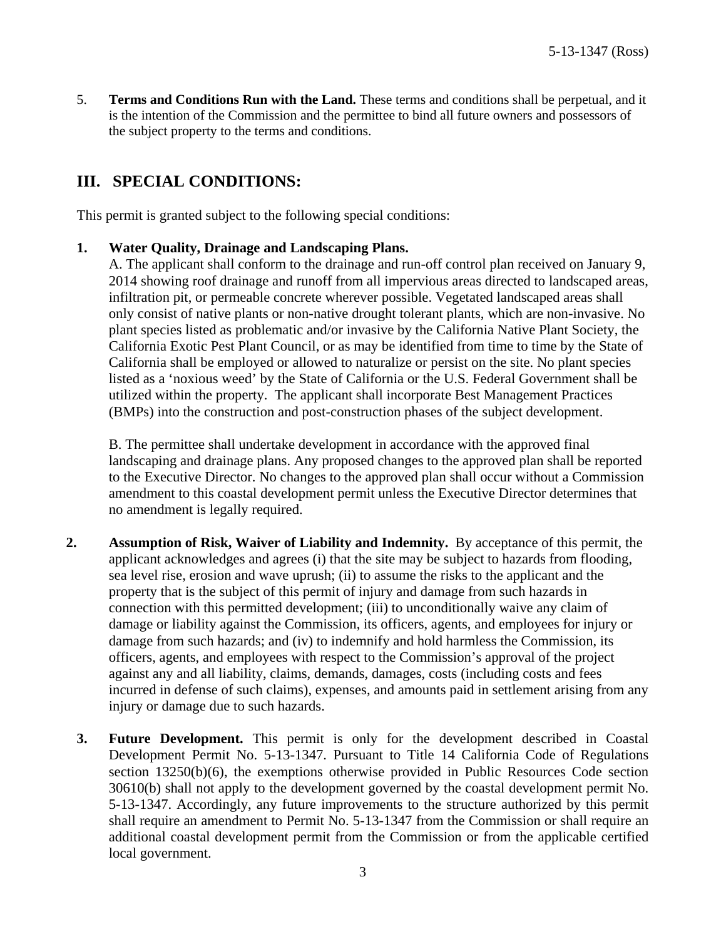5. **Terms and Conditions Run with the Land.** These terms and conditions shall be perpetual, and it is the intention of the Commission and the permittee to bind all future owners and possessors of the subject property to the terms and conditions.

# **III. SPECIAL CONDITIONS:**

This permit is granted subject to the following special conditions:

#### **1. Water Quality, Drainage and Landscaping Plans.**

A. The applicant shall conform to the drainage and run-off control plan received on January 9, 2014 showing roof drainage and runoff from all impervious areas directed to landscaped areas, infiltration pit, or permeable concrete wherever possible. Vegetated landscaped areas shall only consist of native plants or non-native drought tolerant plants, which are non-invasive. No plant species listed as problematic and/or invasive by the California Native Plant Society, the California Exotic Pest Plant Council, or as may be identified from time to time by the State of California shall be employed or allowed to naturalize or persist on the site. No plant species listed as a 'noxious weed' by the State of California or the U.S. Federal Government shall be utilized within the property. The applicant shall incorporate Best Management Practices (BMPs) into the construction and post-construction phases of the subject development.

B. The permittee shall undertake development in accordance with the approved final landscaping and drainage plans. Any proposed changes to the approved plan shall be reported to the Executive Director. No changes to the approved plan shall occur without a Commission amendment to this coastal development permit unless the Executive Director determines that no amendment is legally required.

- **2. Assumption of Risk, Waiver of Liability and Indemnity.** By acceptance of this permit, the applicant acknowledges and agrees (i) that the site may be subject to hazards from flooding, sea level rise, erosion and wave uprush; (ii) to assume the risks to the applicant and the property that is the subject of this permit of injury and damage from such hazards in connection with this permitted development; (iii) to unconditionally waive any claim of damage or liability against the Commission, its officers, agents, and employees for injury or damage from such hazards; and (iv) to indemnify and hold harmless the Commission, its officers, agents, and employees with respect to the Commission's approval of the project against any and all liability, claims, demands, damages, costs (including costs and fees incurred in defense of such claims), expenses, and amounts paid in settlement arising from any injury or damage due to such hazards.
	- **3. Future Development.** This permit is only for the development described in Coastal Development Permit No. 5-13-1347. Pursuant to Title 14 California Code of Regulations section 13250(b)(6), the exemptions otherwise provided in Public Resources Code section 30610(b) shall not apply to the development governed by the coastal development permit No. 5-13-1347. Accordingly, any future improvements to the structure authorized by this permit shall require an amendment to Permit No. 5-13-1347 from the Commission or shall require an additional coastal development permit from the Commission or from the applicable certified local government.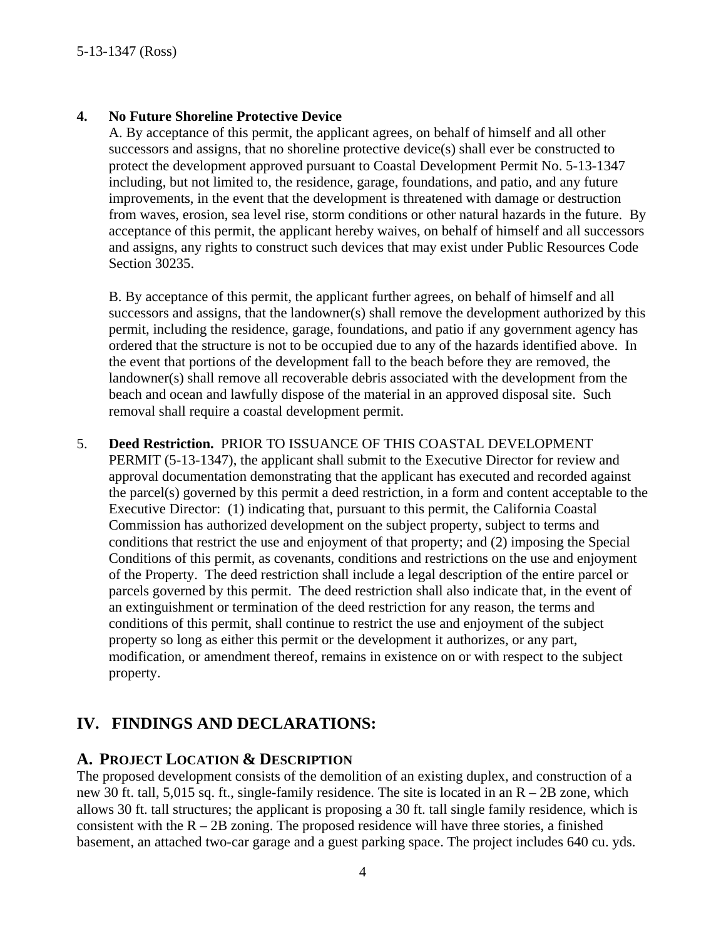#### **4. No Future Shoreline Protective Device**

A. By acceptance of this permit, the applicant agrees, on behalf of himself and all other successors and assigns, that no shoreline protective device(s) shall ever be constructed to protect the development approved pursuant to Coastal Development Permit No. 5-13-1347 including, but not limited to, the residence, garage, foundations, and patio, and any future improvements, in the event that the development is threatened with damage or destruction from waves, erosion, sea level rise, storm conditions or other natural hazards in the future. By acceptance of this permit, the applicant hereby waives, on behalf of himself and all successors and assigns, any rights to construct such devices that may exist under Public Resources Code Section 30235.

B. By acceptance of this permit, the applicant further agrees, on behalf of himself and all successors and assigns, that the landowner(s) shall remove the development authorized by this permit, including the residence, garage, foundations, and patio if any government agency has ordered that the structure is not to be occupied due to any of the hazards identified above. In the event that portions of the development fall to the beach before they are removed, the landowner(s) shall remove all recoverable debris associated with the development from the beach and ocean and lawfully dispose of the material in an approved disposal site. Such removal shall require a coastal development permit.

5. **Deed Restriction.** PRIOR TO ISSUANCE OF THIS COASTAL DEVELOPMENT PERMIT (5-13-1347), the applicant shall submit to the Executive Director for review and approval documentation demonstrating that the applicant has executed and recorded against the parcel(s) governed by this permit a deed restriction, in a form and content acceptable to the Executive Director: (1) indicating that, pursuant to this permit, the California Coastal Commission has authorized development on the subject property, subject to terms and conditions that restrict the use and enjoyment of that property; and (2) imposing the Special Conditions of this permit, as covenants, conditions and restrictions on the use and enjoyment of the Property. The deed restriction shall include a legal description of the entire parcel or parcels governed by this permit. The deed restriction shall also indicate that, in the event of an extinguishment or termination of the deed restriction for any reason, the terms and conditions of this permit, shall continue to restrict the use and enjoyment of the subject property so long as either this permit or the development it authorizes, or any part, modification, or amendment thereof, remains in existence on or with respect to the subject property.

## **IV. FINDINGS AND DECLARATIONS:**

#### **A. PROJECT LOCATION & DESCRIPTION**

The proposed development consists of the demolition of an existing duplex, and construction of a new 30 ft. tall, 5,015 sq. ft., single-family residence. The site is located in an R – 2B zone, which allows 30 ft. tall structures; the applicant is proposing a 30 ft. tall single family residence, which is consistent with the  $R - 2B$  zoning. The proposed residence will have three stories, a finished basement, an attached two-car garage and a guest parking space. The project includes 640 cu. yds.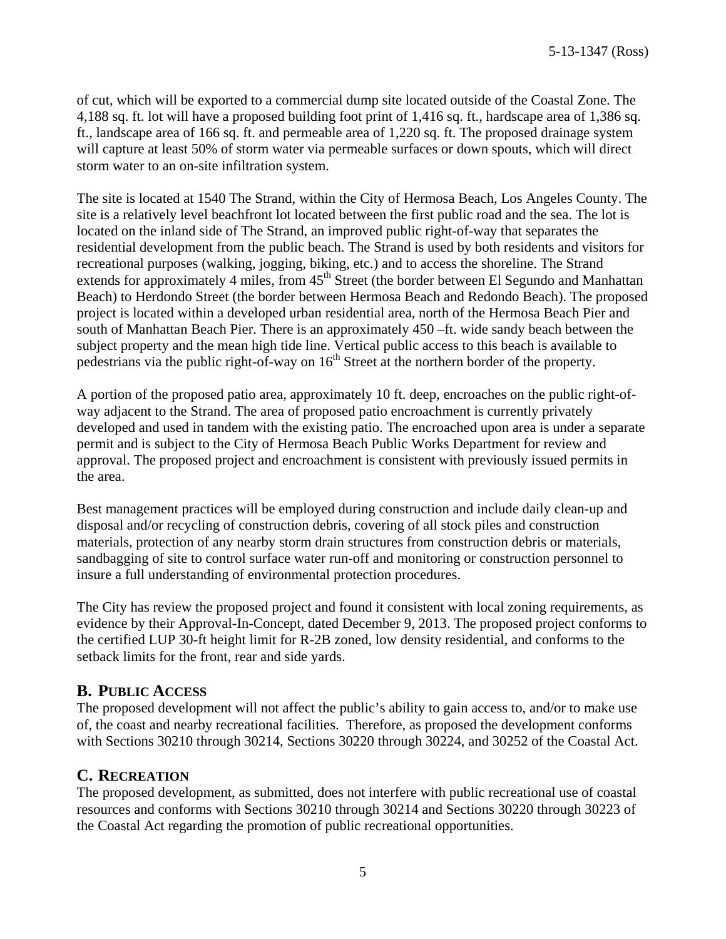of cut, which will be exported to a commercial dump site located outside of the Coastal Zone. The 4,188 sq. ft. lot will have a proposed building foot print of 1,416 sq. ft., hardscape area of 1,386 sq. ft., landscape area of 166 sq. ft. and permeable area of 1,220 sq. ft. The proposed drainage system will capture at least 50% of storm water via permeable surfaces or down spouts, which will direct storm water to an on-site infiltration system.

The site is located at 1540 The Strand, within the City of Hermosa Beach, Los Angeles County. The site is a relatively level beachfront lot located between the first public road and the sea. The lot is located on the inland side of The Strand, an improved public right-of-way that separates the residential development from the public beach. The Strand is used by both residents and visitors for recreational purposes (walking, jogging, biking, etc.) and to access the shoreline. The Strand extends for approximately 4 miles, from  $45<sup>th</sup>$  Street (the border between El Segundo and Manhattan Beach) to Herdondo Street (the border between Hermosa Beach and Redondo Beach). The proposed project is located within a developed urban residential area, north of the Hermosa Beach Pier and south of Manhattan Beach Pier. There is an approximately 450 –ft. wide sandy beach between the subject property and the mean high tide line. Vertical public access to this beach is available to pedestrians via the public right-of-way on  $16<sup>th</sup>$  Street at the northern border of the property.

A portion of the proposed patio area, approximately 10 ft. deep, encroaches on the public right-ofway adjacent to the Strand. The area of proposed patio encroachment is currently privately developed and used in tandem with the existing patio. The encroached upon area is under a separate permit and is subject to the City of Hermosa Beach Public Works Department for review and approval. The proposed project and encroachment is consistent with previously issued permits in the area.

Best management practices will be employed during construction and include daily clean-up and disposal and/or recycling of construction debris, covering of all stock piles and construction materials, protection of any nearby storm drain structures from construction debris or materials, sandbagging of site to control surface water run-off and monitoring or construction personnel to insure a full understanding of environmental protection procedures.

The City has review the proposed project and found it consistent with local zoning requirements, as evidence by their Approval-In-Concept, dated December 9, 2013. The proposed project conforms to the certified LUP 30-ft height limit for R-2B zoned, low density residential, and conforms to the setback limits for the front, rear and side yards.

#### **B. PUBLIC ACCESS**

The proposed development will not affect the public's ability to gain access to, and/or to make use of, the coast and nearby recreational facilities. Therefore, as proposed the development conforms with Sections 30210 through 30214, Sections 30220 through 30224, and 30252 of the Coastal Act.

#### **C. RECREATION**

The proposed development, as submitted, does not interfere with public recreational use of coastal resources and conforms with Sections 30210 through 30214 and Sections 30220 through 30223 of the Coastal Act regarding the promotion of public recreational opportunities.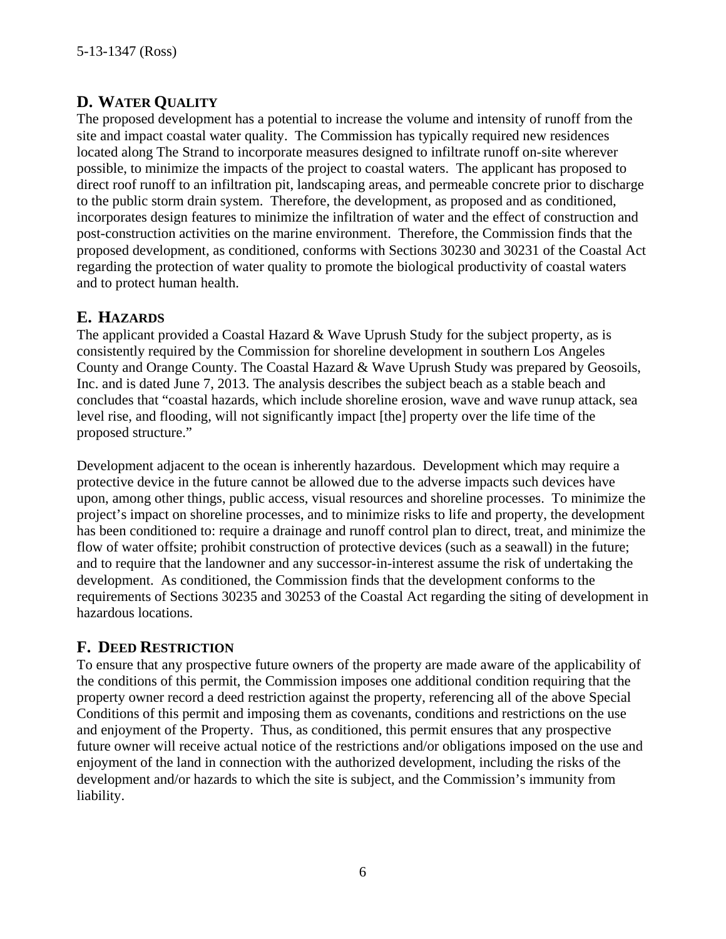# **D. WATER QUALITY**

The proposed development has a potential to increase the volume and intensity of runoff from the site and impact coastal water quality. The Commission has typically required new residences located along The Strand to incorporate measures designed to infiltrate runoff on-site wherever possible, to minimize the impacts of the project to coastal waters. The applicant has proposed to direct roof runoff to an infiltration pit, landscaping areas, and permeable concrete prior to discharge to the public storm drain system. Therefore, the development, as proposed and as conditioned, incorporates design features to minimize the infiltration of water and the effect of construction and post-construction activities on the marine environment. Therefore, the Commission finds that the proposed development, as conditioned, conforms with Sections 30230 and 30231 of the Coastal Act regarding the protection of water quality to promote the biological productivity of coastal waters and to protect human health.

# **E. HAZARDS**

The applicant provided a Coastal Hazard & Wave Uprush Study for the subject property, as is consistently required by the Commission for shoreline development in southern Los Angeles County and Orange County. The Coastal Hazard & Wave Uprush Study was prepared by Geosoils, Inc. and is dated June 7, 2013. The analysis describes the subject beach as a stable beach and concludes that "coastal hazards, which include shoreline erosion, wave and wave runup attack, sea level rise, and flooding, will not significantly impact [the] property over the life time of the proposed structure."

Development adjacent to the ocean is inherently hazardous. Development which may require a protective device in the future cannot be allowed due to the adverse impacts such devices have upon, among other things, public access, visual resources and shoreline processes. To minimize the project's impact on shoreline processes, and to minimize risks to life and property, the development has been conditioned to: require a drainage and runoff control plan to direct, treat, and minimize the flow of water offsite; prohibit construction of protective devices (such as a seawall) in the future; and to require that the landowner and any successor-in-interest assume the risk of undertaking the development. As conditioned, the Commission finds that the development conforms to the requirements of Sections 30235 and 30253 of the Coastal Act regarding the siting of development in hazardous locations.

# **F. DEED RESTRICTION**

To ensure that any prospective future owners of the property are made aware of the applicability of the conditions of this permit, the Commission imposes one additional condition requiring that the property owner record a deed restriction against the property, referencing all of the above Special Conditions of this permit and imposing them as covenants, conditions and restrictions on the use and enjoyment of the Property. Thus, as conditioned, this permit ensures that any prospective future owner will receive actual notice of the restrictions and/or obligations imposed on the use and enjoyment of the land in connection with the authorized development, including the risks of the development and/or hazards to which the site is subject, and the Commission's immunity from liability.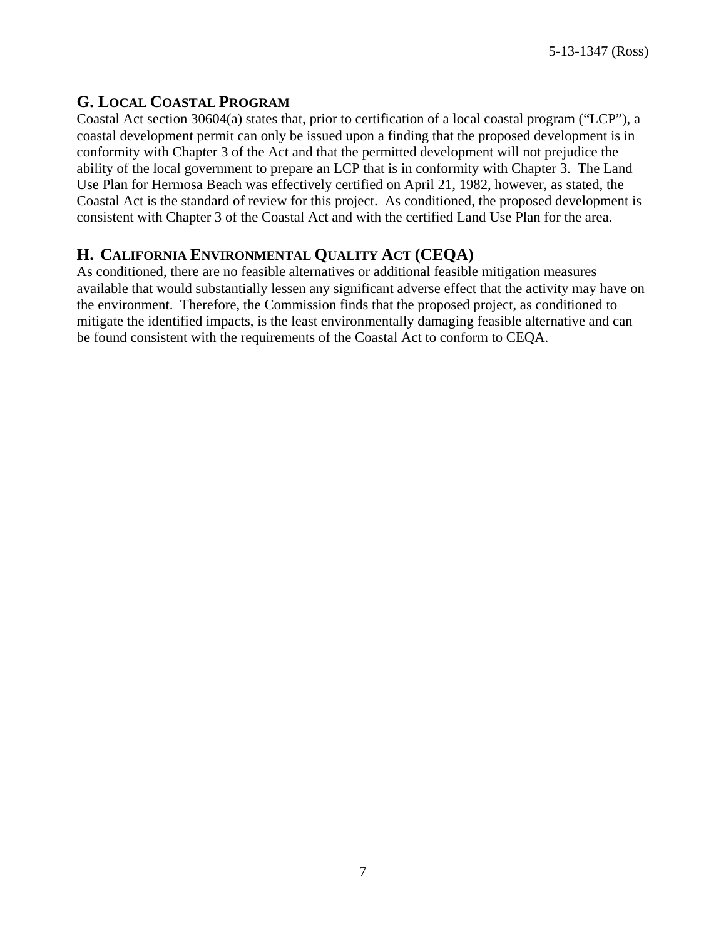#### **G. LOCAL COASTAL PROGRAM**

Coastal Act section 30604(a) states that, prior to certification of a local coastal program ("LCP"), a coastal development permit can only be issued upon a finding that the proposed development is in conformity with Chapter 3 of the Act and that the permitted development will not prejudice the ability of the local government to prepare an LCP that is in conformity with Chapter 3. The Land Use Plan for Hermosa Beach was effectively certified on April 21, 1982, however, as stated, the Coastal Act is the standard of review for this project. As conditioned, the proposed development is consistent with Chapter 3 of the Coastal Act and with the certified Land Use Plan for the area.

### **H. CALIFORNIA ENVIRONMENTAL QUALITY ACT (CEQA)**

As conditioned, there are no feasible alternatives or additional feasible mitigation measures available that would substantially lessen any significant adverse effect that the activity may have on the environment. Therefore, the Commission finds that the proposed project, as conditioned to mitigate the identified impacts, is the least environmentally damaging feasible alternative and can be found consistent with the requirements of the Coastal Act to conform to CEQA.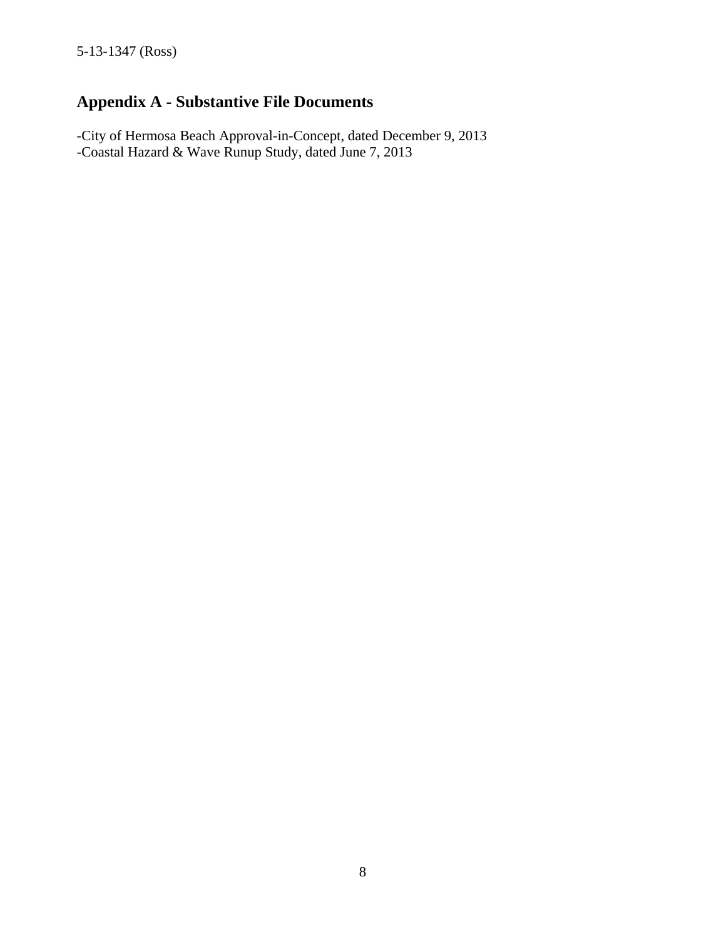# **Appendix A - Substantive File Documents**

-City of Hermosa Beach Approval-in-Concept, dated December 9, 2013 -Coastal Hazard & Wave Runup Study, dated June 7, 2013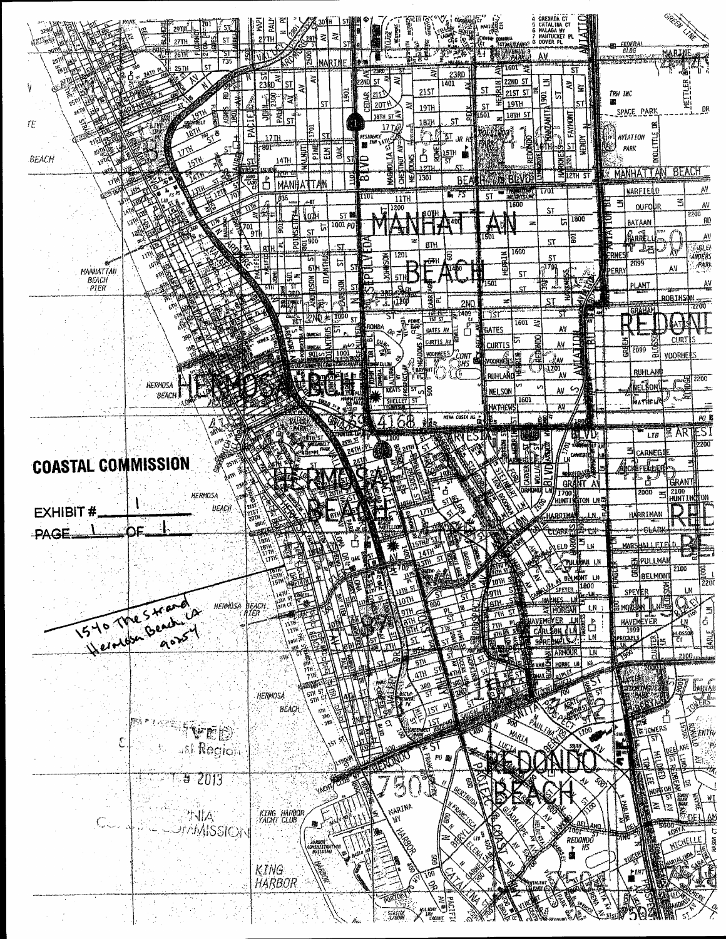| 29TH<br>ST.<br>27TH<br>"26T<br>SГ                 | Z<br>≳<br>281                                                                                                                         | 寝<br><b>HEATE</b>                                                                                                                                  | GRENADA CT<br>CATALINA CT<br>MALAGA WY<br>NANTUCKET PL<br>DOVER PL<br>gordosa<br>"T <i>at material</i> es"<br>a.      | <i><b>FEDERA</b></i><br>al DG<br><b>MARINE</b><br><b>XXXXXXXXX</b>                                                                                                                                                                                                                                                                                                                                                                                                                                                                                                   |
|---------------------------------------------------|---------------------------------------------------------------------------------------------------------------------------------------|----------------------------------------------------------------------------------------------------------------------------------------------------|-----------------------------------------------------------------------------------------------------------------------|----------------------------------------------------------------------------------------------------------------------------------------------------------------------------------------------------------------------------------------------------------------------------------------------------------------------------------------------------------------------------------------------------------------------------------------------------------------------------------------------------------------------------------------------------------------------|
| 735<br>ST<br><b>25TH</b><br>9                     | 55<br>25<br>$rac{5}{2380}$<br>ই∣<br>ST.<br>₹<br>្បូន<br>eg<br>P<br>'ব¦<br>ST                                                          | 2380<br>ă<br>$\mathbb{R}$<br>23RD<br>R<br>₹<br>5T<br>1401<br>215T<br>CEDAR<br>20TY<br>圣<br>19TH                                                    | 1601"<br>$\overline{\mathsf{S}}$<br>22ND ST<br>3<br>≋∣<br>童<br>ST<br>215T ST<br><b>SOL</b><br>ぃ<br>19TH<br>ST<br>ST   | TRW INC<br>讍<br>DR<br>SPACE PARK                                                                                                                                                                                                                                                                                                                                                                                                                                                                                                                                     |
| 羂<br>gresiteit<br>TE.<br>ЛĶ<br>ST<br><b>BEACH</b> | Ę<br>鄠<br>결<br>$\overline{\text{sr}}$<br>$\overline{\mathbf{r}}$<br>$\tilde{a}$<br>.17.IH<br>PINE<br>-801<br>š<br>UMUT<br>픫<br>14TH   | $187H$ ST $\overline{4}$<br>뜡<br>ST<br>1074<br>$177\mu$<br>ŊТ<br>AESIOENCE<br>maail lihii \di<br>ROMEL<br>ර්<br>$\frac{157}{51}$<br>ЮLIА<br>뛻<br>ē | Э КАМДАНТІ<br>1501<br>18TH ST<br>FAYMONT<br>REDONO)<br><b>KENDY</b><br>ST<br>×.<br>KNE.<br>3                          | 舊<br><b>DODLITTLE</b><br><b>AVIATION</b><br>PARK                                                                                                                                                                                                                                                                                                                                                                                                                                                                                                                     |
|                                                   | vitta:<br>ESCUE<br>靄<br>ВI<br>$\mathbf{b}$<br><b>MANHATTAN</b><br>835<br>-क्ष<br>lodi<br>ST M<br>1001p0                               | ভু<br>i¥<br>نمنا<br>1301<br><b>BEA</b><br>븊<br>F5<br>nor<br>11TH<br>1200<br>تيا<br>401                                                             | $\equiv$ 12TH $\overline{51}$<br><b><i>GEREVOLE</i></b><br>*170F<br>$=$ means<br>5T<br>1600<br>ST<br>1800<br>চা<br>23 | <b>BEACH</b><br><b>MANHATTAN</b><br>AV<br>WARFIELD<br>盃<br>当<br>s<br>٨V<br>OUFOUR<br>2200<br>Ē<br>$\mathbf{R}$<br>BATAAN                                                                                                                                                                                                                                                                                                                                                                                                                                             |
| MANHATTAN                                         | प्रथ<br>$\frac{1}{21}$<br>뉴<br>is.<br>ST<br>$E^{3}_{\rm max}$<br>ST.<br>'n<br><b>Enville</b><br>For the set<br>চা<br>S1<br>∣៖<br> ≋ ≠ | ⊟<br>81H<br>1201<br><b>KISI</b><br>g<br>póŦH<br>¥<br>5TH                                                                                           | 501<br>21<br>1600<br>HERRIN<br>ST<br>770<br>51                                                                        | <b>ARRE</b><br>٨V<br><b>HANGER</b><br>ANDERS<br>า<br>متقبله<br>ÀŸ<br>ERN<br>2099<br>AV<br><u>peary</u>                                                                                                                                                                                                                                                                                                                                                                                                                                                               |
| PIER                                              | <b>EXECUTE</b><br>ā<br>डा<br>51<br><b>RKH</b><br>週<br>R<br>1000<br>2N0 ≉l<br>ST.                                                      | سكة<br>$\frac{1}{2}$<br>11200<br>2ND<br>1409.<br>$\frac{1}{121}$ $\frac{1}{21}$<br>实婴<br>රි<br>ronda<br>GATES AV                                   | 1501<br>冩<br>a.<br>ST.<br>ST<br>51<br>-131<br>1501<br>荧<br>АV<br>GATES                                                | AV<br><b>PLANT</b><br>ROBINSON<br>22 Q<br>GRAHAM                                                                                                                                                                                                                                                                                                                                                                                                                                                                                                                     |
| <b>HERMOSA</b>                                    | 1001<br>$901 - 3$                                                                                                                     | <b>URTIS</b><br>郛<br><b>VOORHEES</b><br>SZ CONT<br>CSHS<br>d<br>帶<br><b>KEATS</b>                                                                  | È<br><b>CURTIS</b><br>AV<br>熤<br><b>SYOONE SEE</b><br>्रुक्<br>1701<br>AV<br>RUHLAND<br>v<br>٨V<br>NELSON             | CURT <sub>15</sub><br>靣<br>2099<br>್ವ<br>द्व<br>VOORIEE<br><b>RUHLAN</b><br>2200<br>ិន្នី<br>beikorl                                                                                                                                                                                                                                                                                                                                                                                                                                                                 |
| <b>ВЕАСН</b>                                      |                                                                                                                                       | SHELLEY<br>NINA COSTA AS                                                                                                                           | 1601<br>MATHERS<br>W<br>èd.<br>RIN<br>S<br>.VU,<br>교.                                                                 | ł,<br>PO K<br><b>EARTEST</b><br>LIB<br>2200                                                                                                                                                                                                                                                                                                                                                                                                                                                                                                                          |
| <b>COASTAL COMMISSION</b><br>HERMOSA              |                                                                                                                                       |                                                                                                                                                    | 皮皮<br>BI VD<br><b>CARVER</b><br><b>GRANT A'</b><br>ORMOND<br>τą<br><b>1700</b><br>HUNTI!<br>NGTON LNC                 | CARNEG!<br>Elstri<br>å<br><b>GRANT</b><br>2100<br>HUNTING ON<br>2000<br>覀                                                                                                                                                                                                                                                                                                                                                                                                                                                                                            |
| BEACH<br><b>EXHIBIT#</b><br>PAGE                  | <b>YBIH</b>                                                                                                                           |                                                                                                                                                    | HARRIMA<br>J٨.<br><u>្រួលទី¦ា ពេ</u>                                                                                  | HARRIMAN<br>∙ <del>cl</del> ar<br><u>marshalleteeld</u>                                                                                                                                                                                                                                                                                                                                                                                                                                                                                                              |
| <b>HERMOSA</b>                                    | ากิ<br>Jaik Cr<br>beach.                                                                                                              |                                                                                                                                                    | HAN LI<br>BOLMONT LN<br>1800<br>ιN                                                                                    | EPULLMAN<br>2100<br>$\frac{1}{2200}$<br>BIBELMONT<br><b>BOC</b><br>$\overline{11}$<br>SPEYER<br>四國                                                                                                                                                                                                                                                                                                                                                                                                                                                                   |
| 15 You flow beautiful                             | g W                                                                                                                                   |                                                                                                                                                    | u<br>CAR<br>LN<br>SPRE<br>AINNOUR.<br>LN                                                                              | $\frac{\frac{1}{2} \frac{1}{2} \frac{1}{2} \frac{1}{2} \frac{1}{2} \frac{1}{2} \frac{1}{2} \frac{1}{2} \frac{1}{2} \frac{1}{2} \frac{1}{2} \frac{1}{2} \frac{1}{2} \frac{1}{2} \frac{1}{2} \frac{1}{2} \frac{1}{2} \frac{1}{2} \frac{1}{2} \frac{1}{2} \frac{1}{2} \frac{1}{2} \frac{1}{2} \frac{1}{2} \frac{1}{2} \frac{1}{2} \frac{1}{2} \frac{1}{2} \frac{1}{2} \frac{1}{2} \frac{1}{2} \$<br>ුනු)<br> ර<br>$\overline{u}$<br>$\begin{array}{c}\n\longrightarrow \\ \downarrow\n\\ \hline\n\end{array}$<br>اینا<br>آگستا<br><b>PRECKET</b><br>ិម្ពឺ<br>ដូ<br>2100 |
|                                                   | 51)<br><b>HERMOSA</b><br>5M<br><b>BEACH</b><br>$\frac{\kappa m}{2}$                                                                   |                                                                                                                                                    | $\bar{v}_0$                                                                                                           |                                                                                                                                                                                                                                                                                                                                                                                                                                                                                                                                                                      |
| VED<br>ast Region                                 |                                                                                                                                       | י כ<br>墓<br>P0 20                                                                                                                                  | PAULLAP<br>MARIA                                                                                                      | Eznir<br>TOWERS                                                                                                                                                                                                                                                                                                                                                                                                                                                                                                                                                      |
| 2013<br><b>ENIA</b><br>AMMISSION                  | KING HARBOR<br>YACHT CLUB<br>膨い                                                                                                       | E<br>Sa<br>$\mathbb{Z}$<br>MARINA<br>ls.<br>ИÏ                                                                                                     |                                                                                                                       | <b>FREE</b><br>ωI<br>计信<br>ız                                                                                                                                                                                                                                                                                                                                                                                                                                                                                                                                        |
|                                                   | .<br>KOMINISTRATION<br>. BOILLING<br>KING.<br><b>HARBOR</b>                                                                           | 2<br>ŝ<br>$\partial q$<br>c).                                                                                                                      | PIOOT <sub>11</sub><br>REDONDO<br>NA <i>IS</i>                                                                        | WOMELLE                                                                                                                                                                                                                                                                                                                                                                                                                                                                                                                                                              |
|                                                   |                                                                                                                                       | Fortio<br><b>SEASIDE</b>                                                                                                                           |                                                                                                                       |                                                                                                                                                                                                                                                                                                                                                                                                                                                                                                                                                                      |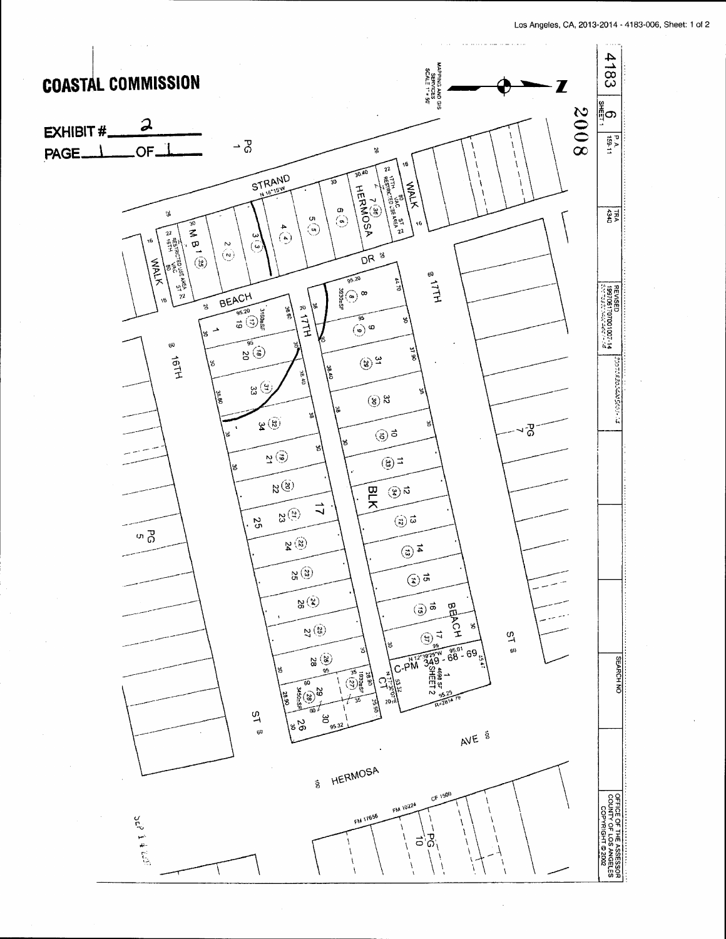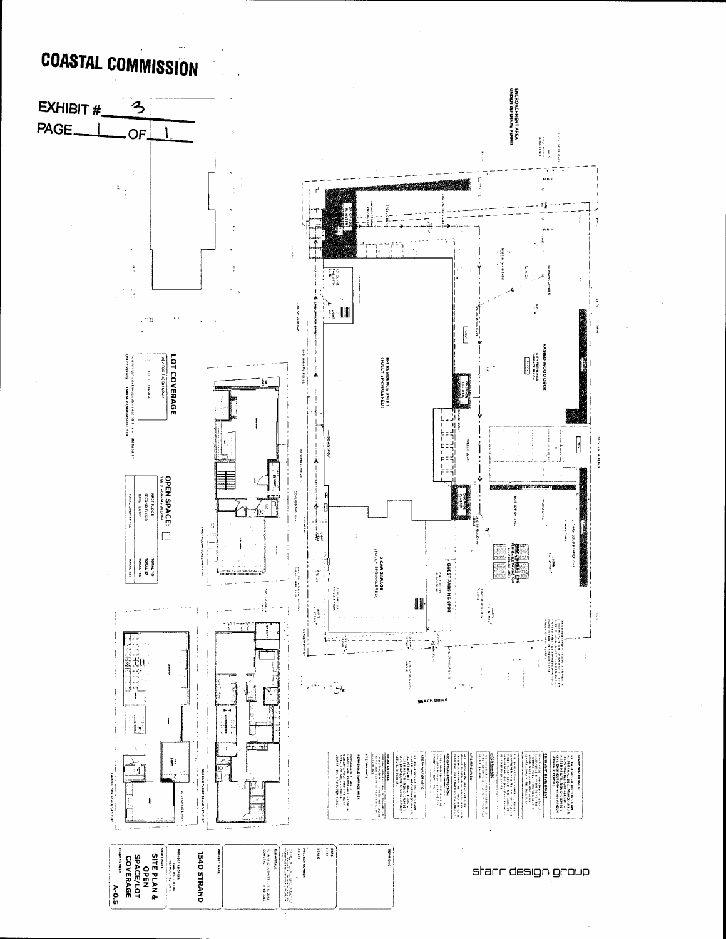# **COASTAL COMMISSION**

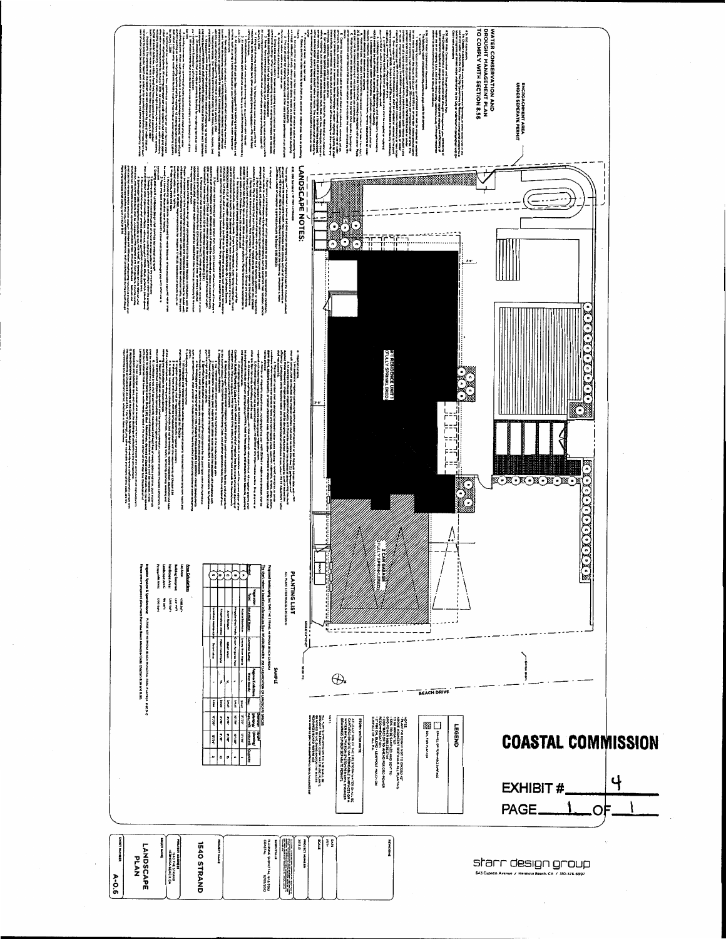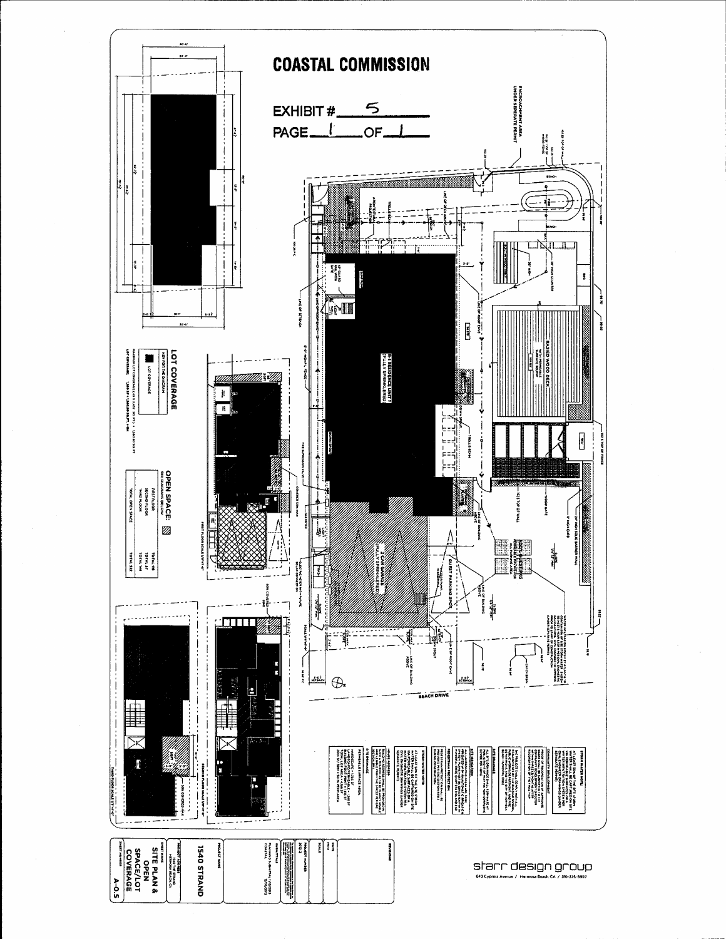